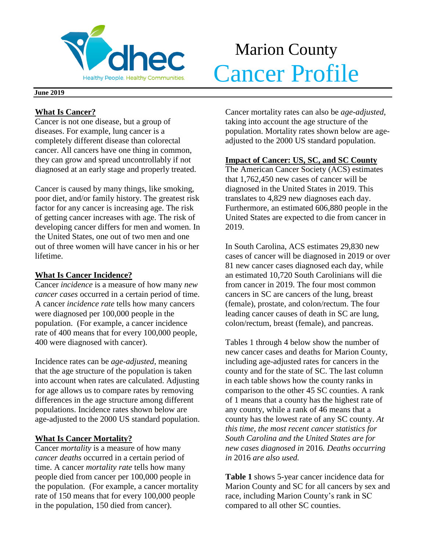

# Marion County Merchantle Cancer Profile

#### **June 2019**

## **What Is Cancer?**

Cancer is not one disease, but a group of diseases. For example, lung cancer is a completely different disease than colorectal cancer. All cancers have one thing in common, they can grow and spread uncontrollably if not diagnosed at an early stage and properly treated.

Cancer is caused by many things, like smoking, poor diet, and/or family history. The greatest risk factor for any cancer is increasing age. The risk of getting cancer increases with age. The risk of developing cancer differs for men and women. In the United States, one out of two men and one out of three women will have cancer in his or her lifetime.

## **What Is Cancer Incidence?**

Cancer *incidence* is a measure of how many *new cancer cases* occurred in a certain period of time. A cancer *incidence rate* tells how many cancers were diagnosed per 100,000 people in the population. (For example, a cancer incidence rate of 400 means that for every 100,000 people, 400 were diagnosed with cancer).

Incidence rates can be *age-adjusted*, meaning that the age structure of the population is taken into account when rates are calculated. Adjusting for age allows us to compare rates by removing differences in the age structure among different populations. Incidence rates shown below are age-adjusted to the 2000 US standard population.

## **What Is Cancer Mortality?**

Cancer *mortality* is a measure of how many *cancer deaths* occurred in a certain period of time. A cancer *mortality rate* tells how many people died from cancer per 100,000 people in the population. (For example, a cancer mortality rate of 150 means that for every 100,000 people in the population, 150 died from cancer).

Cancer mortality rates can also be *age-adjusted*, taking into account the age structure of the population. Mortality rates shown below are ageadjusted to the 2000 US standard population.

## **Impact of Cancer: US, SC, and SC County**

The American Cancer Society (ACS) estimates that 1,762,450 new cases of cancer will be diagnosed in the United States in 2019. This translates to 4,829 new diagnoses each day. Furthermore, an estimated 606,880 people in the United States are expected to die from cancer in 2019.

In South Carolina, ACS estimates 29,830 new cases of cancer will be diagnosed in 2019 or over 81 new cancer cases diagnosed each day, while an estimated 10,720 South Carolinians will die from cancer in 2019. The four most common cancers in SC are cancers of the lung, breast (female), prostate, and colon/rectum. The four leading cancer causes of death in SC are lung, colon/rectum, breast (female), and pancreas.

Tables 1 through 4 below show the number of new cancer cases and deaths for Marion County, including age-adjusted rates for cancers in the county and for the state of SC. The last column in each table shows how the county ranks in comparison to the other 45 SC counties. A rank of 1 means that a county has the highest rate of any county, while a rank of 46 means that a county has the lowest rate of any SC county. *At this time, the most recent cancer statistics for South Carolina and the United States are for new cases diagnosed in* 2016*. Deaths occurring in* 2016 *are also used.*

**Table 1** shows 5-year cancer incidence data for Marion County and SC for all cancers by sex and race, including Marion County's rank in SC compared to all other SC counties.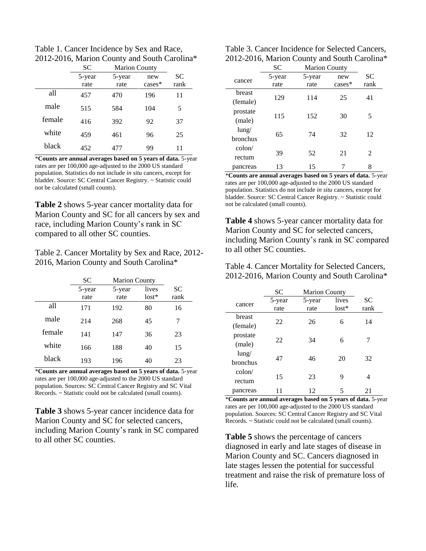Table 1. Cancer Incidence by Sex and Race, 2012-2016, Marion County and South Carolina\*

|        | <b>SC</b> | <b>Marion County</b> |           |      |  |
|--------|-----------|----------------------|-----------|------|--|
|        | 5-year    | 5-year               | new       | SC   |  |
|        | rate      | rate                 | $cases^*$ | rank |  |
| all    | 457       | 470                  | 196       | 11   |  |
| male   | 515       | 584                  | 104       | 5    |  |
| female | 416       | 392                  | 92        | 37   |  |
| white  | 459       | 461                  | 96        | 25   |  |
| black  | 452       | 477                  | 99        | 11   |  |

\***Counts are annual averages based on 5 years of data.** 5-year rates are per 100,000 age-adjusted to the 2000 US standard population. Statistics do not include *in situ* cancers, except for bladder. Source: SC Central Cancer Registry. ~ Statistic could not be calculated (small counts).

**Table 2** shows 5-year cancer mortality data for Marion County and SC for all cancers by sex and race, including Marion County's rank in SC compared to all other SC counties.

Table 2. Cancer Mortality by Sex and Race, 2012- 2016, Marion County and South Carolina\*

|        | SС             | <b>Marion County</b> |                  |                   |
|--------|----------------|----------------------|------------------|-------------------|
|        | 5-year<br>rate | 5-year<br>rate       | lives<br>$lost*$ | <b>SC</b><br>rank |
| all    | 171            | 192                  | 80               | 16                |
| male   | 214            | 268                  | 45               | 7                 |
| female | 141            | 147                  | 36               | 23                |
| white  | 166            | 188                  | 40               | 15                |
| black  | 193            | 196                  | 40               | 23                |

\***Counts are annual averages based on 5 years of data.** 5-year rates are per 100,000 age-adjusted to the 2000 US standard population. Sources: SC Central Cancer Registry and SC Vital Records. ~ Statistic could not be calculated (small counts).

**Table 3** shows 5-year cancer incidence data for Marion County and SC for selected cancers, including Marion County's rank in SC compared to all other SC counties.

| Table 3. Cancer Incidence for Selected Cancers, |
|-------------------------------------------------|
| 2012-2016, Marion County and South Carolina*    |

|                 | <b>SC</b> | <b>Marion County</b> |          |                |
|-----------------|-----------|----------------------|----------|----------------|
| cancer          | 5-year    | 5-year               | new      | <b>SC</b>      |
|                 | rate      | rate                 | $cases*$ | rank           |
| breast          | 129       | 114                  | 25       | 41             |
| (female)        |           |                      |          |                |
| prostate        |           |                      |          |                |
| (male)          | 115       | 152                  | 30       | 5              |
| $l$ ung/        |           |                      |          |                |
| bronchus        | 65        | 74                   | 32       | 12             |
| $\text{colon}/$ |           |                      |          |                |
| rectum          | 39        | 52                   | 21       | $\mathfrak{D}$ |
| pancreas        | 13        | 15                   |          | 8              |

\***Counts are annual averages based on 5 years of data.** 5-year rates are per 100,000 age-adjusted to the 2000 US standard population. Statistics do not include *in situ* cancers, except for bladder. Source: SC Central Cancer Registry. ~ Statistic could not be calculated (small counts).

**Table 4** shows 5-year cancer mortality data for Marion County and SC for selected cancers, including Marion County's rank in SC compared to all other SC counties.

Table 4. Cancer Mortality for Selected Cancers, 2012-2016, Marion County and South Carolina\*

|                             | SС             | <b>Marion County</b> |                  |            |
|-----------------------------|----------------|----------------------|------------------|------------|
| cancer                      | 5-year<br>rate | 5-year<br>rate       | lives<br>$lost*$ | SC<br>rank |
| breast<br>(female)          | 22             | 26                   | 6                | 14         |
| prostate<br>(male)          | 22             | 34                   | 6                |            |
| $l$ ung/<br><b>bronchus</b> | 47             | 46                   | 20               | 32         |
| $\text{colon}/$<br>rectum   | 15             | 23                   | 9                | 4          |
| pancreas                    |                | 12                   | 5                | 21         |

\***Counts are annual averages based on 5 years of data.** 5-year rates are per 100,000 age-adjusted to the 2000 US standard population. Sources: SC Central Cancer Registry and SC Vital Records. ~ Statistic could not be calculated (small counts).

**Table 5** shows the percentage of cancers diagnosed in early and late stages of disease in Marion County and SC. Cancers diagnosed in late stages lessen the potential for successful treatment and raise the risk of premature loss of life.